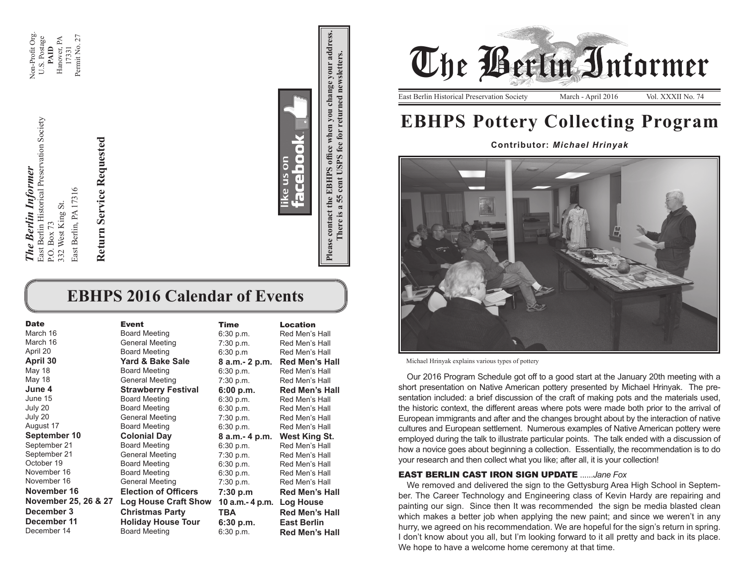Non-Profit Org.<br>U.S. Postage Non-Profit Org. Hanover, PA<br>17331 Permit No. 27 Permit No. 27 Hanover, PA U.S. Postage **PAID**

> ast Berlin Historical Preservation Society East Berlin Historical Preservation Society 3ast Berlin, PA 17316 East Berlin, PA 17316 32 West King St. 332 West King St. **P.O. Box 73** P.O. Box 73

*The Berlin Informer*

The Berlin Informer

Return Service Requested **Return Service Requested**

 $\overline{\phantom{a}}$ ce us on **d**<br>Ceb **Please contact the EBHPS office when you change your address. There is a 55 cent USPS fee for returned newsletters.**

There is a 55 cent USPS fee for returned newsletters.

Please contact the EBHPS office when you change your address

# **EBHPS 2016 Calendar of Events**

| <b>Date</b>          | <b>Event</b>                | <b>Time</b>     | <b>Location</b>       |
|----------------------|-----------------------------|-----------------|-----------------------|
| March 16             | <b>Board Meeting</b>        | 6:30 p.m.       | Red Men's Hall        |
| March 16             | <b>General Meeting</b>      | 7:30 p.m.       | Red Men's Hall        |
| April 20             | <b>Board Meeting</b>        | 6:30 p.m        | Red Men's Hall        |
| April 30             | Yard & Bake Sale            | 8 a.m. - 2 p.m. | <b>Red Men's Hall</b> |
| May 18               | <b>Board Meeting</b>        | 6:30 p.m.       | Red Men's Hall        |
| May 18               | <b>General Meeting</b>      | 7:30 p.m.       | Red Men's Hall        |
| June 4               | <b>Strawberry Festival</b>  | 6:00 p.m.       | <b>Red Men's Hall</b> |
| June 15              | <b>Board Meeting</b>        | 6:30 p.m.       | Red Men's Hall        |
| July 20              | <b>Board Meeting</b>        | 6:30 p.m.       | Red Men's Hall        |
| July 20              | General Meeting             | 7:30 p.m.       | Red Men's Hall        |
| August 17            | <b>Board Meeting</b>        | 6:30 p.m.       | Red Men's Hall        |
| September 10         | <b>Colonial Day</b>         | 8 a.m.- 4 p.m.  | <b>West King St.</b>  |
| September 21         | <b>Board Meeting</b>        | 6:30 p.m.       | Red Men's Hall        |
| September 21         | <b>General Meeting</b>      | 7:30 p.m.       | Red Men's Hall        |
| October 19           | <b>Board Meeting</b>        | 6:30 p.m.       | Red Men's Hall        |
| November 16          | <b>Board Meeting</b>        | 6:30 p.m.       | Red Men's Hall        |
| November 16          | <b>General Meeting</b>      | 7:30 p.m.       | Red Men's Hall        |
| November 16          | <b>Election of Officers</b> | 7:30 p.m        | <b>Red Men's Hall</b> |
| November 25, 26 & 27 | <b>Log House Craft Show</b> | 10 a.m.- 4 p.m. | Log House             |
| December 3           | <b>Christmas Party</b>      | <b>TBA</b>      | <b>Red Men's Hall</b> |
| December 11          | <b>Holiday House Tour</b>   | 6:30 p.m.       | <b>East Berlin</b>    |
| December 14          | <b>Board Meeting</b>        | 6:30 p.m.       | <b>Red Men's Hall</b> |



# **EBHPS Pottery Collecting Program**

**Contributor:** *Michael Hrinyak*



Michael Hrinyak explains various types of pottery

Our 2016 Program Schedule got off to a good start at the January 20th meeting with a short presentation on Native American pottery presented by Michael Hrinyak. The presentation included: a brief discussion of the craft of making pots and the materials used, the historic context, the different areas where pots were made both prior to the arrival of European immigrants and after and the changes brought about by the interaction of native cultures and European settlement. Numerous examples of Native American pottery were employed during the talk to illustrate particular points. The talk ended with a discussion of how a novice goes about beginning a collection. Essentially, the recommendation is to do your research and then collect what you like; after all, it is your collection!

#### **EAST BERLIN CAST IRON SIGN UPDATE** ...

We removed and delivered the sign to the Gettysburg Area High School in September. The Career Technology and Engineering class of Kevin Hardy are repairing and painting our sign. Since then It was recommended the sign be media blasted clean which makes a better job when applying the new paint; and since we weren't in any hurry, we agreed on his recommendation. We are hopeful for the sign's return in spring. I don't know about you all, but I'm looking forward to it all pretty and back in its place. We hope to have a welcome home ceremony at that time.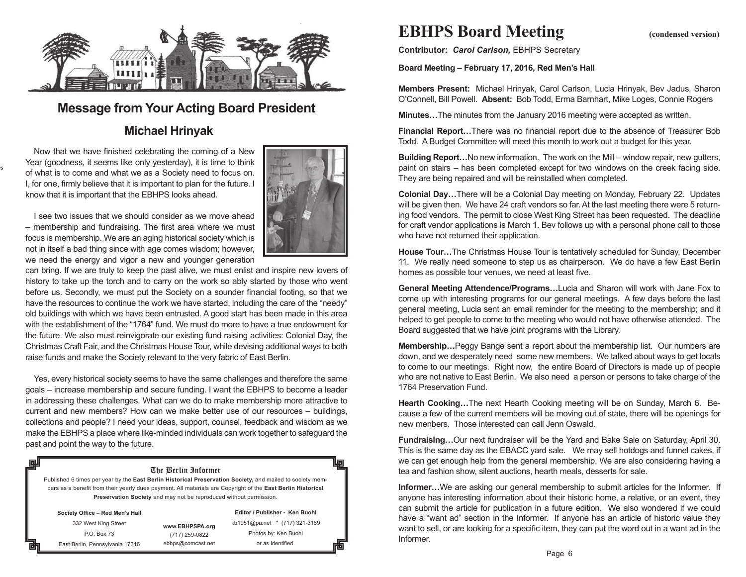

## **Message from Your Acting Board President**

## **Michael Hrinyak**

Now that we have finished celebrating the coming of a New Year (goodness, it seems like only yesterday), it is time to think of what is to come and what we as a Society need to focus on. I, for one, firmly believe that it is important to plan for the future. I know that it is important that the EBHPS looks ahead.

Photo Credit: Lois Loges

l.



I see two issues that we should consider as we move ahead – membership and fundraising. The first area where we must focus is membership. We are an aging historical society which is not in itself a bad thing since with age comes wisdom; however, we need the energy and vigor a new and younger generation

can bring. If we are truly to keep the past alive, we must enlist and inspire new lovers of history to take up the torch and to carry on the work so ably started by those who went before us. Secondly, we must put the Society on a sounder financial footing, so that we have the resources to continue the work we have started, including the care of the "needy" old buildings with which we have been entrusted. A good start has been made in this area with the establishment of the "1764" fund. We must do more to have a true endowment for the future. We also must reinvigorate our existing fund raising activities: Colonial Day, the Christmas Craft Fair, and the Christmas House Tour, while devising additional ways to both raise funds and make the Society relevant to the very fabric of East Berlin.

Yes, every historical society seems to have the same challenges and therefore the same goals – increase membership and secure funding. I want the EBHPS to become a leader in addressing these challenges. What can we do to make membership more attractive to current and new members? How can we make better use of our resources – buildings, collections and people? I need your ideas, support, counsel, feedback and wisdom as we make the EBHPS a place where like-minded individuals can work together to safeguard the past and point the way to the future.

#### The Berlin Informer

Published 6 times per year by the **East Berlin Historical Preservation Society,** and mailed to society members as a benefit from their yearly dues payment. All materials are Copyright of the **East Berlin Historical Preservation Society** and may not be reproduced without permission.

| Society Office - Red Men's Hall |                   | Editor / Publisher - Ken Buohl |  |
|---------------------------------|-------------------|--------------------------------|--|
| 332 West King Street            | www.EBHPSPA.org   | kb1951@pa.net * (717) 321-3189 |  |
| P.O. Box 73                     | (717) 259-0822    | Photos by: Ken Buohl           |  |
| East Berlin, Pennsylvania 17316 | ebhps@comcast.net | or as identified.              |  |

# **EBHPS Board Meeting** (condensed version)

**Contributor:** *Carol Carlson,* EBHPS Secretary

**Board Meeting – February 17, 2016, Red Men's Hall**

**Members Present:** Michael Hrinyak, Carol Carlson, Lucia Hrinyak, Bev Jadus, Sharon O'Connell, Bill Powell. **Absent:** Bob Todd, Erma Barnhart, Mike Loges, Connie Rogers

**Minutes…**The minutes from the January 2016 meeting were accepted as written.

**Financial Report…**There was no financial report due to the absence of Treasurer Bob Todd. A Budget Committee will meet this month to work out a budget for this year.

**Building Report…**No new information. The work on the Mill – window repair, new gutters, paint on stairs – has been completed except for two windows on the creek facing side. They are being repaired and will be reinstalled when completed.

**Colonial Day…**There will be a Colonial Day meeting on Monday, February 22. Updates will be given then. We have 24 craft vendors so far. At the last meeting there were 5 returning food vendors. The permit to close West King Street has been requested. The deadline for craft vendor applications is March 1. Bev follows up with a personal phone call to those who have not returned their application.

**House Tour…**The Christmas House Tour is tentatively scheduled for Sunday, December 11. We really need someone to step us as chairperson. We do have a few East Berlin homes as possible tour venues, we need at least five.

**General Meeting Attendence/Programs…**Lucia and Sharon will work with Jane Fox to come up with interesting programs for our general meetings. A few days before the last general meeting, Lucia sent an email reminder for the meeting to the membership; and it helped to get people to come to the meeting who would not have otherwise attended. The Board suggested that we have joint programs with the Library.

**Membership…**Peggy Bange sent a report about the membership list. Our numbers are down, and we desperately need some new members. We talked about ways to get locals to come to our meetings. Right now, the entire Board of Directors is made up of people who are not native to East Berlin. We also need a person or persons to take charge of the 1764 Preservation Fund.

**Hearth Cooking…**The next Hearth Cooking meeting will be on Sunday, March 6. Because a few of the current members will be moving out of state, there will be openings for new menbers. Those interested can call Jenn Oswald.

**Fundraising…**Our next fundraiser will be the Yard and Bake Sale on Saturday, April 30. This is the same day as the EBACC yard sale. We may sell hotdogs and funnel cakes, if we can get enough help from the general membership. We are also considering having a tea and fashion show, silent auctions, hearth meals, desserts for sale.

**Informer...**We are asking our general membership to submit articles for the Informer. If anyone has interesting information about their historic home, a relative, or an event, they can submit the article for publication in a future edition. We also wondered if we could have a "want ad" section in the Informer. If anyone has an article of historic value they want to sell, or are looking for a specific item, they can put the word out in a want ad in the Informer.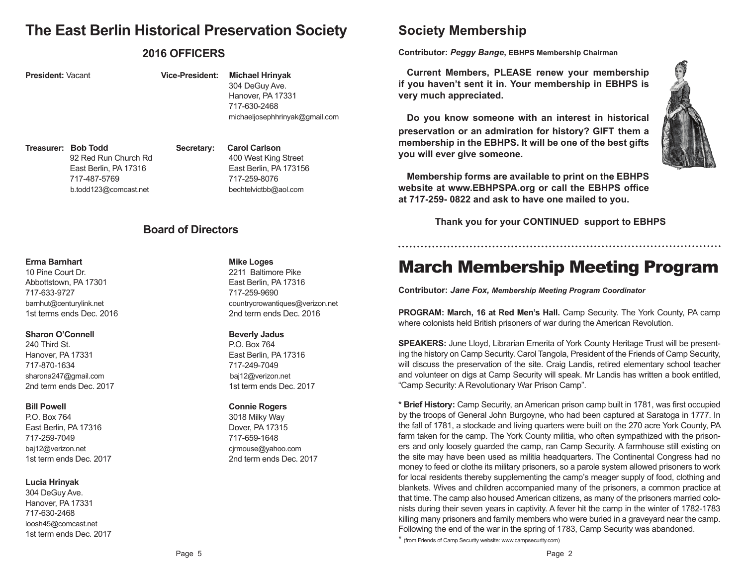# **The East Berlin Historical Preservation Society**

## **2016 OFFICERS**

### **President:** Vacant **Vice-President: Michael Hrinyak** 304 DeGuy Ave. Hanover, PA 17331 717-630-2468

**Treasurer: Bob Todd Secretary: Carol Carlson** 92 Red Run Church Rd 400 West King Street

East Berlin, PA 17316 East Berlin, PA 173156 717-487-5769 717-259-8076 b.todd123@comcast.net bechtelvictbb@aol.com

michaeljosephhrinyak@gmail.com

## **Board of Directors**

#### **Erma Barnhart Mike Loges Mike Loges**

10 Pine Court Dr. 2211 Baltimore Pike Abbottstown, PA 17301 East Berlin, PA 17316 717-633-9727 717-259-9690

#### **Sharon O'Connell Beverly Jadus**

240 Third St. 200 P.O. Box 764 Hanover, PA 17331 **East Berlin, PA 17316** 717-870-1634 717-249-7049 sharona247@gmail.com baj12@verizon.net 2nd term ends Dec. 2017 1st term ends Dec. 2017

P.O. Box 764 3018 Milky Way East Berlin, PA 17316 **Dover, PA 17315** 717-259-7049 717-659-1648 baj12@verizon.net cjrmouse@yahoo.com

### **Lucia Hrinyak**

304 DeGuy Ave. Hanover, PA 17331 717-630-2468 loosh45@comcast.net 1st term ends Dec. 2017

barnhut@centurylink.net countrycrowantiques@verizon.net 1st terms ends Dec. 2016 2nd term ends Dec. 2016

### **Bill Powell Connie Rogers**

1st term ends Dec. 2017 2nd term ends Dec. 2017

# **Society Membership**

**Contributor:** *Peggy Bange***, EBHPS Membership Chairman**

**Current Members, PLEASE renew your membership if you haven't sent it in. Your membership in EBHPS is very much appreciated.** 

**Do you know someone with an interest in historical preservation or an admiration for history? GIFT them a membership in the EBHPS. It will be one of the best gifts you will ever give someone.**

**Membership forms are available to print on the EBHPS website at www.EBHPSPA.org or call the EBHPS office at 717-259- 0822 and ask to have one mailed to you.**

 **Thank you for your CONTINUED support to EBHPS**

# March Membership Meeting Program

**Contributor:** *Jane Fox, Membership Meeting Program Coordinator*

**PROGRAM: March, 16 at Red Men's Hall.** Camp Security. The York County, PA camp where colonists held British prisoners of war during the American Revolution.

**SPEAKERS:** June Lloyd, Librarian Emerita of York County Heritage Trust will be presenting the history on Camp Security. Carol Tangola, President of the Friends of Camp Security, will discuss the preservation of the site. Craig Landis, retired elementary school teacher and volunteer on digs at Camp Security will speak. Mr Landis has written a book entitled, "Camp Security: A Revolutionary War Prison Camp".

**\* Brief History:** Camp Security, an American prison camp built in 1781, was first occupied by the troops of General John Burgoyne, who had been captured at Saratoga in 1777. In the fall of 1781, a stockade and living quarters were built on the 270 acre York County, PA farm taken for the camp. The York County militia, who often sympathized with the prisoners and only loosely guarded the camp, ran Camp Security. A farmhouse still existing on the site may have been used as militia headquarters. The Continental Congress had no money to feed or clothe its military prisoners, so a parole system allowed prisoners to work for local residents thereby supplementing the camp's meager supply of food, clothing and blankets. Wives and children accompanied many of the prisoners, a common practice at that time. The camp also housed American citizens, as many of the prisoners married colonists during their seven years in captivity. A fever hit the camp in the winter of 1782-1783 killing many prisoners and family members who were buried in a graveyard near the camp. Following the end of the war in the spring of 1783, Camp Security was abandoned.

\* (from Friends of Camp Security website: www,campsecurity.com)